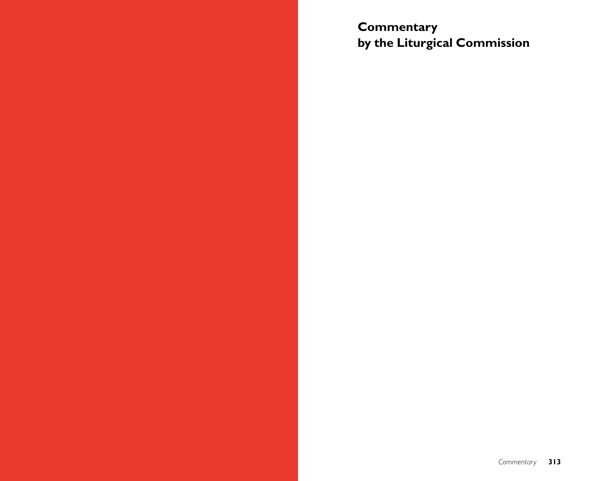**Commentary by the Liturgical Commission**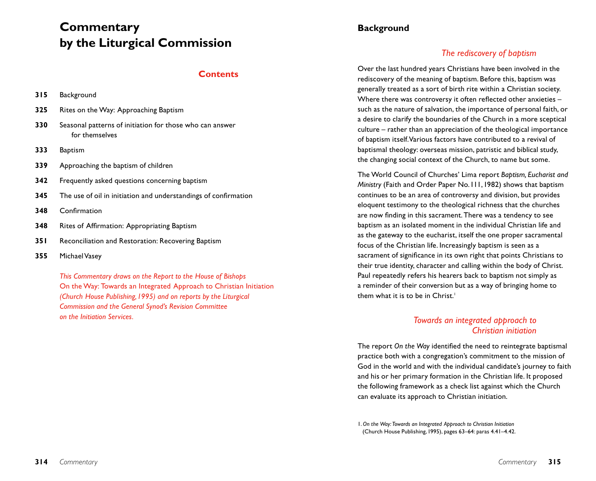# **Commentary by the Liturgical Commission**

### **Contents**

- **315** Background
- **325** Rites on the Way: Approaching Baptism
- **330** Seasonal patterns of initiation for those who can answer for themselves
- **333** Baptism
- **339** Approaching the baptism of children
- **342** Frequently asked questions concerning baptism
- **345** The use of oil in initiation and understandings of confirmation
- **348** Confirmation
- **348** Rites of Affirmation: Appropriating Baptism
- **351** Reconciliation and Restoration: Recovering Baptism
- **355** Michael Vasey

*This Commentary draws on the Report to the House of Bishops* On the Way: Towards an Integrated Approach to Christian Initiation *(Church House Publishing,1995) and on reports by the Liturgical Commission and the General Synod's Revision Committee on the Initiation Services.*

# **Background**

# *The rediscovery of baptism*

Over the last hundred years Christians have been involved in the rediscovery of the meaning of baptism. Before this, baptism was generally treated as a sort of birth rite within a Christian society. Where there was controversy it often reflected other anxieties – such as the nature of salvation, the importance of personal faith, or a desire to clarify the boundaries of the Church in a more sceptical culture – rather than an appreciation of the theological importance of baptism itself.Various factors have contributed to a revival of baptismal theology: overseas mission, patristic and biblical study, the changing social context of the Church, to name but some.

The World Council of Churches' Lima report *Baptism, Eucharist and Ministry* (Faith and Order Paper No.111,1982) shows that baptism continues to be an area of controversy and division, but provides eloquent testimony to the theological richness that the churches are now finding in this sacrament. There was a tendency to see baptism as an isolated moment in the individual Christian life and as the gateway to the eucharist, itself the one proper sacramental focus of the Christian life. Increasingly baptism is seen as a sacrament of significance in its own right that points Christians to their true identity, character and calling within the body of Christ. Paul repeatedly refers his hearers back to baptism not simply as a reminder of their conversion but as a way of bringing home to them what it is to be in Christ.<sup>1</sup>

### *Towards an integrated approach to Christian initiation*

The report *On the Way* identified the need to reintegrate baptismal practice both with a congregation's commitment to the mission of God in the world and with the individual candidate's journey to faith and his or her primary formation in the Christian life. It proposed the following framework as a check list against which the Church can evaluate its approach to Christian initiation.

1. *On the Way: Towards an Integrated Approach to Christian Initiation* (Church House Publishing,1995), pages 63–64: paras 4.41–4.42.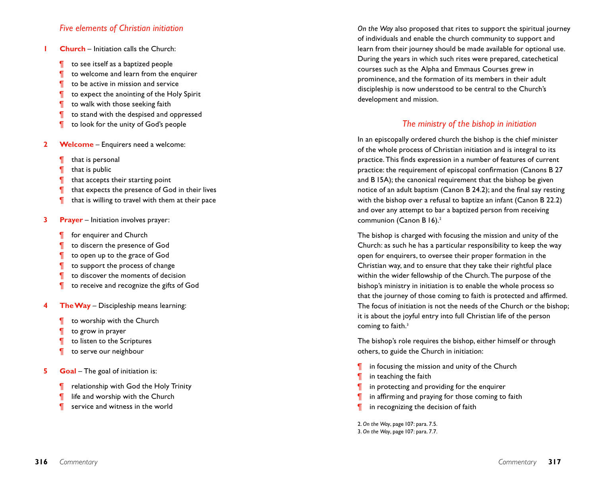### *Five elements of Christian initiation*

- **1 Church** Initiation calls the Church:
	- to see itself as a baptized people
	- to welcome and learn from the enquirer
	- ¶ to be active in mission and service
	- ¶ to expect the anointing of the Holy Spirit
	- ¶ to walk with those seeking faith
	- ¶ to stand with the despised and oppressed
	- ¶ to look for the unity of God's people

**2 Welcome** – Enquirers need a welcome:

- that is personal
- that is public
- **T** that accepts their starting point
- ¶ that expects the presence of God in their lives
- ¶ that is willing to travel with them at their pace
- **3 Prayer** Initiation involves prayer:
	- **T** for enquirer and Church
	- to discern the presence of God
	- ¶ to open up to the grace of God
	- to support the process of change
	- ¶ to discover the moments of decision
	- ¶ to receive and recognize the gifts of God
- **4 The Way** Discipleship means learning:
	- to worship with the Church
	- ¶ to grow in prayer
	- ¶ to listen to the Scriptures
	- ¶ to serve our neighbour
- **5 Goal** The goal of initiation is:
	- relationship with God the Holy Trinity
	- **T** life and worship with the Church
	- **T** service and witness in the world

*On the Way* also proposed that rites to support the spiritual journey of individuals and enable the church community to support and learn from their journey should be made available for optional use. During the years in which such rites were prepared, catechetical courses such as the Alpha and Emmaus Courses grew in prominence, and the formation of its members in their adult discipleship is now understood to be central to the Church's development and mission.

# *The ministry of the bishop in initiation*

In an episcopally ordered church the bishop is the chief minister of the whole process of Christian initiation and is integral to its practice. This finds expression in a number of features of current practice: the requirement of episcopal confirmation (Canons B 27 and B 15A); the canonical requirement that the bishop be given notice of an adult baptism (Canon B 24.2); and the final say resting with the bishop over a refusal to baptize an infant (Canon B 22.2) and over any attempt to bar a baptized person from receiving communion (Canon B 16).<sup>2</sup>

The bishop is charged with focusing the mission and unity of the Church: as such he has a particular responsibility to keep the way open for enquirers, to oversee their proper formation in the Christian way, and to ensure that they take their rightful place within the wider fellowship of the Church. The purpose of the bishop's ministry in initiation is to enable the whole process so that the journey of those coming to faith is protected and affirmed. The focus of initiation is not the needs of the Church or the bishop; it is about the joyful entry into full Christian life of the person coming to faith.<sup>3</sup>

The bishop's role requires the bishop, either himself or through others, to guide the Church in initiation:

- in focusing the mission and unity of the Church
- **T** in teaching the faith
- in protecting and providing for the enquirer
- in affirming and praying for those coming to faith
- in recognizing the decision of faith

2. *On the Way*, page 107: para. 7.5. 3. *On the Way*, page 107: para. 7.7.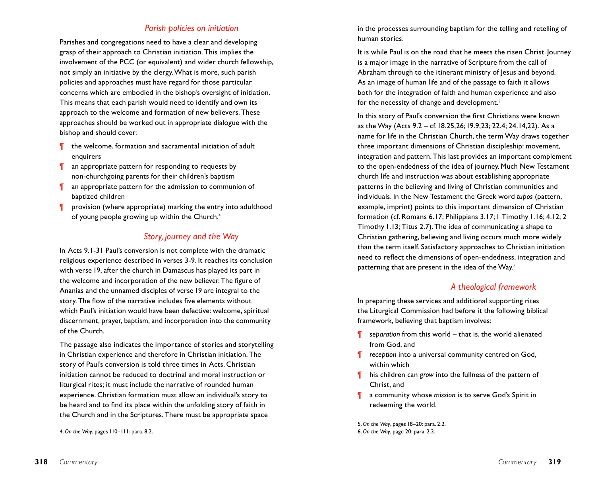## *Parish policies on initiation*

Parishes and congregations need to have a clear and developing grasp of their approach to Christian initiation. This implies the involvement of the PCC (or equivalent) and wider church fellowship, not simply an initiative by the clergy.What is more, such parish policies and approaches must have regard for those particular concerns which are embodied in the bishop's oversight of initiation. This means that each parish would need to identify and own its approach to the welcome and formation of new believers. These approaches should be worked out in appropriate dialogue with the bishop and should cover:

- ¶ the welcome, formation and sacramental initiation of adult enquirers
- ¶ an appropriate pattern for responding to requests by non-churchgoing parents for their children's baptism
- an appropriate pattern for the admission to communion of baptized children
- ¶ provision (where appropriate) marking the entry into adulthood of young people growing up within the Church.<sup>4</sup>

### *Story, journey and the Way*

In Acts 9.1-31 Paul's conversion is not complete with the dramatic religious experience described in verses 3-9. It reaches its conclusion with verse 19, after the church in Damascus has played its part in the welcome and incorporation of the new believer. The figure of Ananias and the unnamed disciples of verse 19 are integral to the story. The flow of the narrative includes five elements without which Paul's initiation would have been defective: welcome, spiritual discernment, prayer, baptism, and incorporation into the community of the Church.

The passage also indicates the importance of stories and storytelling in Christian experience and therefore in Christian initiation. The story of Paul's conversion is told three times in Acts. Christian initiation cannot be reduced to doctrinal and moral instruction or liturgical rites; it must include the narrative of rounded human experience. Christian formation must allow an individual's story to be heard and to find its place within the unfolding story of faith in the Church and in the Scriptures. There must be appropriate space

4. *On the Way*, pages 110–111: para. 8.2.

in the processes surrounding baptism for the telling and retelling of human stories.

It is while Paul is on the road that he meets the risen Christ. Journey is a major image in the narrative of Scripture from the call of Abraham through to the itinerant ministry of Jesus and beyond. As an image of human life and of the passage to faith it allows both for the integration of faith and human experience and also for the necessity of change and development.<sup>5</sup>

In this story of Paul's conversion the first Christians were known as the Way (Acts 9.2 – cf.18.25,26;19.9,23; 22.4; 24.14,22). As a name for life in the Christian Church, the term Way draws together three important dimensions of Christian discipleship: movement, integration and pattern. This last provides an important complement to the open-endedness of the idea of journey. Much New Testament church life and instruction was about establishing appropriate patterns in the believing and living of Christian communities and individuals. In the New Testament the Greek word *tupos* (pattern, example, imprint) points to this important dimension of Christian formation (cf. Romans 6.17; Philippians 3.17;1 Timothy 1.16; 4.12; 2 Timothy 1.13; Titus 2.7). The idea of communicating a shape to Christian gathering, believing and living occurs much more widely than the term itself. Satisfactory approaches to Christian initiation need to reflect the dimensions of open-endedness, integration and patterning that are present in the idea of the Way.<sup>6</sup>

# *A theological framework*

In preparing these services and additional supporting rites the Liturgical Commission had before it the following biblical framework, believing that baptism involves:

- ¶ *separation* from this world that is, the world alienated from God, and
- **T** reception into a universal community centred on God, within which
- ¶ his children can *grow* into the fullness of the pattern of Christ, and
- ¶ a community whose *mission* is to serve God's Spirit in redeeming the world.

5. *On the Way*, pages 18–20: para. 2.2. 6. *On the Way*, page 20: para. 2.3.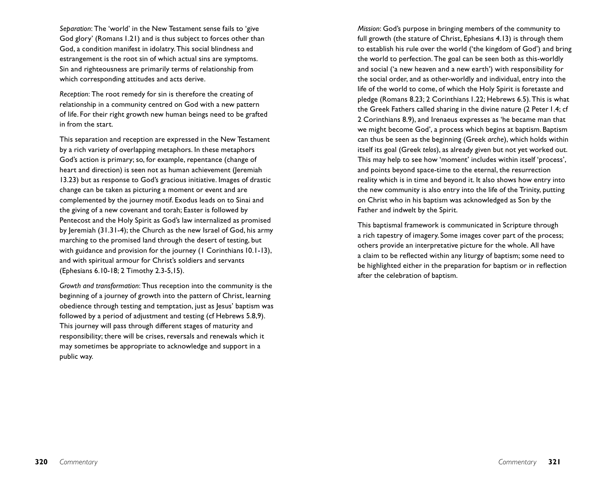*Separation*: The 'world' in the New Testament sense fails to 'give God glory' (Romans 1.21) and is thus subject to forces other than God, a condition manifest in idolatry. This social blindness and estrangement is the root sin of which actual sins are symptoms. Sin and righteousness are primarily terms of relationship from which corresponding attitudes and acts derive.

*Reception*: The root remedy for sin is therefore the creating of relationship in a community centred on God with a new pattern of life. For their right growth new human beings need to be grafted in from the start.

This separation and reception are expressed in the New Testament by a rich variety of overlapping metaphors. In these metaphors God's action is primary; so, for example, repentance (change of heart and direction) is seen not as human achievement (Jeremiah 13.23) but as response to God's gracious initiative. Images of drastic change can be taken as picturing a moment or event and are complemented by the journey motif. Exodus leads on to Sinai and the giving of a new covenant and torah; Easter is followed by Pentecost and the Holy Spirit as God's law internalized as promised by Jeremiah (31.31-4); the Church as the new Israel of God, his army marching to the promised land through the desert of testing, but with guidance and provision for the journey (1 Corinthians 10.1-13), and with spiritual armour for Christ's soldiers and servants (Ephesians 6.10-18; 2 Timothy 2.3-5,15).

*Growth and transformation*: Thus reception into the community is the beginning of a journey of growth into the pattern of Christ, learning obedience through testing and temptation, just as Jesus' baptism was followed by a period of adjustment and testing (cf Hebrews 5.8,9). This journey will pass through different stages of maturity and responsibility; there will be crises, reversals and renewals which it may sometimes be appropriate to acknowledge and support in a public way.

*Mission*: God's purpose in bringing members of the community to full growth (the stature of Christ, Ephesians 4.13) is through them to establish his rule over the world ('the kingdom of God') and bring the world to perfection. The goal can be seen both as this-worldly and social ('a new heaven and a new earth') with responsibility for the social order, and as other-worldly and individual, entry into the life of the world to come, of which the Holy Spirit is foretaste and pledge (Romans 8.23; 2 Corinthians 1.22; Hebrews 6.5). This is what the Greek Fathers called sharing in the divine nature (2 Peter 1.4; cf 2 Corinthians 8.9), and Irenaeus expresses as 'he became man that we might become God', a process which begins at baptism. Baptism can thus be seen as the beginning (Greek *arche*), which holds within itself its goal (Greek *telos*), as already given but not yet worked out. This may help to see how 'moment' includes within itself 'process', and points beyond space-time to the eternal, the resurrection reality which is in time and beyond it. It also shows how entry into the new community is also entry into the life of the Trinity, putting on Christ who in his baptism was acknowledged as Son by the Father and indwelt by the Spirit.

This baptismal framework is communicated in Scripture through a rich tapestry of imagery. Some images cover part of the process; others provide an interpretative picture for the whole. All have a claim to be reflected within any liturgy of baptism; some need to be highlighted either in the preparation for baptism or in reflection after the celebration of baptism.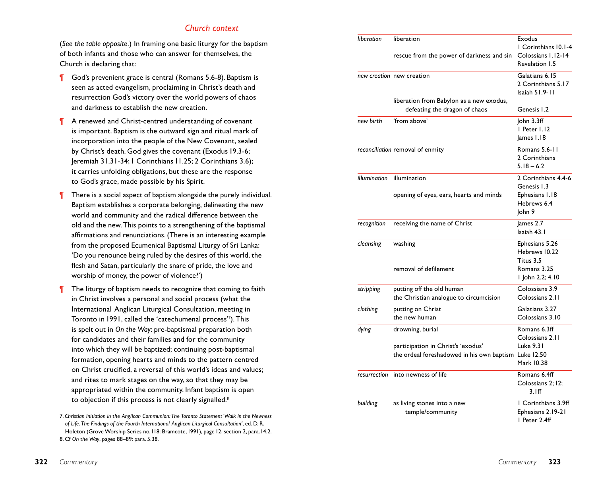### *Church context*

(*See the table opposite.*) In framing one basic liturgy for the baptism of both infants and those who can answer for themselves, the Church is declaring that:

- **T** God's prevenient grace is central (Romans 5.6-8). Baptism is seen as acted evangelism, proclaiming in Christ's death and resurrection God's victory over the world powers of chaos and darkness to establish the new creation.
- ¶ A renewed and Christ-centred understanding of covenant is important. Baptism is the outward sign and ritual mark of incorporation into the people of the New Covenant, sealed by Christ's death. God gives the covenant (Exodus 19.3-6; Jeremiah 31.31-34;1 Corinthians 11.25; 2 Corinthians 3.6); it carries unfolding obligations, but these are the response to God's grace, made possible by his Spirit.
- There is a social aspect of baptism alongside the purely individual. Baptism establishes a corporate belonging, delineating the new world and community and the radical difference between the old and the new. This points to a strengthening of the baptismal affirmations and renunciations. (There is an interesting example from the proposed Ecumenical Baptismal Liturgy of Sri Lanka: 'Do you renounce being ruled by the desires of this world, the flesh and Satan, particularly the snare of pride, the love and worship of money, the power of violence?')
- The liturgy of baptism needs to recognize that coming to faith in Christ involves a personal and social process (what the International Anglican Liturgical Consultation, meeting in Toronto in 1991, called the 'catechumenal process'7 ).This is spelt out in *On the Way*: pre-baptismal preparation both for candidates and their families and for the community into which they will be baptized; continuing post-baptismal formation, opening hearts and minds to the pattern centred on Christ crucified, a reversal of this world's ideas and values; and rites to mark stages on the way, so that they may be appropriated within the community. Infant baptism is open to objection if this process is not clearly signalled.<sup>8</sup>

| liberation  | liberation                                                                                                      | Exodus                                                                          |
|-------------|-----------------------------------------------------------------------------------------------------------------|---------------------------------------------------------------------------------|
|             | rescue from the power of darkness and sin                                                                       | I Corinthians 10.1-4<br>Colossians 1.12-14<br>Revelation 1.5                    |
|             | new creation new creation                                                                                       | Galatians 6.15<br>2 Corinthians 5.17<br>$Isaiah51.9-11$                         |
|             | liberation from Babylon as a new exodus,<br>defeating the dragon of chaos                                       | Genesis 1.2                                                                     |
| new birth   | 'from above'                                                                                                    | John <sub>3.3</sub> ff<br>I Peter I.12<br>James 1.18                            |
|             | reconciliation removal of enmity                                                                                | Romans 5.6-11<br>2 Corinthians<br>$5.18 - 6.2$                                  |
|             | <i>illumination</i> illumination<br>opening of eyes, ears, hearts and minds                                     | 2 Corinthians 4.4-6<br>Genesis 1.3<br>Ephesians 1.18<br>Hebrews 6.4<br>John 9   |
| recognition | receiving the name of Christ                                                                                    | James 2.7<br>Isaiah 43.1                                                        |
| cleansing   | washing<br>removal of defilement                                                                                | Ephesians 5.26<br>Hebrews 10.22<br>Titus 3.5<br>Romans 3.25<br>I John 2.2; 4.10 |
| stripping   | putting off the old human<br>the Christian analogue to circumcision                                             | Colossians 3.9<br>Colossians 2.11                                               |
| clothing    | putting on Christ<br>the new human                                                                              | Galatians 3.27<br>Colossians 3.10                                               |
| dying       | drowning, burial<br>participation in Christ's 'exodus'<br>the ordeal foreshadowed in his own baptism Luke 12.50 | Romans 6.3ff<br>Colossians 2.11<br>Luke 9.31<br>Mark 10.38                      |
|             | resurrection into newness of life                                                                               | Romans 6.4ff<br>Colossians 2; 12;<br>3.1ff                                      |
| building    | as living stones into a new<br>temple/community                                                                 | I Corinthians 3.9ff<br>Ephesians 2.19-21<br>I Peter 2.4ff                       |

<sup>7.</sup> *Christian Initiation in the Anglican Communion: The Toronto Statement 'Walk in the Newness of Life. The Findings of the Fourth International Anglican Liturgical Consultation'*, ed. D. R. Holeton (Grove Worship Series no.118: Bramcote,1991), page 12, section 2, para.14.2. 8. Cf *On the Way*, pages 88–89: para. 5.38.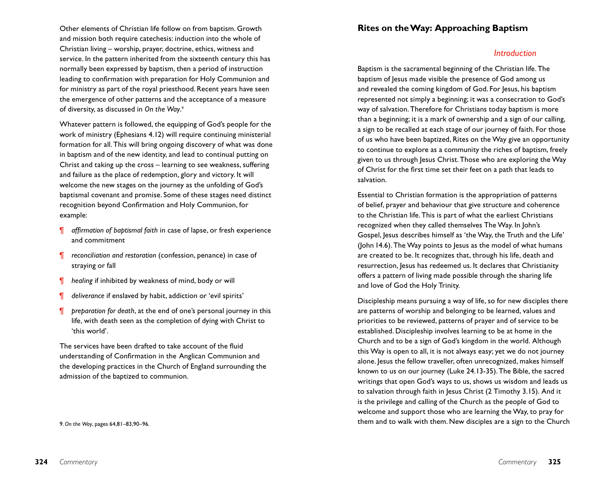Other elements of Christian life follow on from baptism. Growth and mission both require catechesis: induction into the whole of Christian living – worship, prayer, doctrine, ethics, witness and service. In the pattern inherited from the sixteenth century this has normally been expressed by baptism, then a period of instruction leading to confirmation with preparation for Holy Communion and for ministry as part of the royal priesthood. Recent years have seen the emergence of other patterns and the acceptance of a measure of diversity, as discussed in *On the Way*. 9

Whatever pattern is followed, the equipping of God's people for the work of ministry (Ephesians 4.12) will require continuing ministerial formation for all. This will bring ongoing discovery of what was done in baptism and of the new identity, and lead to continual putting on Christ and taking up the cross – learning to see weakness, suffering and failure as the place of redemption, glory and victory. It will welcome the new stages on the journey as the unfolding of God's baptismal covenant and promise. Some of these stages need distinct recognition beyond Confirmation and Holy Communion, for example:

- ¶ *affirmation of baptismal faith* in case of lapse, or fresh experience and commitment
- ¶ *reconciliation and restoration* (confession, penance) in case of straying or fall
- ¶ *healing* if inhibited by weakness of mind, body or will
- ¶ *deliverance* if enslaved by habit, addiction or 'evil spirits'
- ¶ *preparation for death*, at the end of one's personal journey in this life, with death seen as the completion of dying with Christ to 'this world'.

The services have been drafted to take account of the fluid understanding of Confirmation in the Anglican Communion and the developing practices in the Church of England surrounding the admission of the baptized to communion.

#### 9. *On the Way*, pages 64,81–83,90–96.

# **Rites on the Way: Approaching Baptism**

### *Introduction*

Baptism is the sacramental beginning of the Christian life. The baptism of Jesus made visible the presence of God among us and revealed the coming kingdom of God. For Jesus, his baptism represented not simply a beginning; it was a consecration to God's way of salvation. Therefore for Christians today baptism is more than a beginning; it is a mark of ownership and a sign of our calling, a sign to be recalled at each stage of our journey of faith. For those of us who have been baptized, Rites on the Way give an opportunity to continue to explore as a community the riches of baptism, freely given to us through Jesus Christ. Those who are exploring the Way of Christ for the first time set their feet on a path that leads to salvation.

Essential to Christian formation is the appropriation of patterns of belief, prayer and behaviour that give structure and coherence to the Christian life. This is part of what the earliest Christians recognized when they called themselves The Way. In John's Gospel, Jesus describes himself as 'the Way, the Truth and the Life' (John 14.6). The Way points to Jesus as the model of what humans are created to be. It recognizes that, through his life, death and resurrection, Jesus has redeemed us. It declares that Christianity offers a pattern of living made possible through the sharing life and love of God the Holy Trinity.

Discipleship means pursuing a way of life, so for new disciples there are patterns of worship and belonging to be learned, values and priorities to be reviewed, patterns of prayer and of service to be established. Discipleship involves learning to be at home in the Church and to be a sign of God's kingdom in the world. Although this Way is open to all, it is not always easy; yet we do not journey alone. Jesus the fellow traveller, often unrecognized, makes himself known to us on our journey (Luke 24.13-35). The Bible, the sacred writings that open God's ways to us, shows us wisdom and leads us to salvation through faith in Jesus Christ (2 Timothy 3.15). And it is the privilege and calling of the Church as the people of God to welcome and support those who are learning the Way, to pray for them and to walk with them. New disciples are a sign to the Church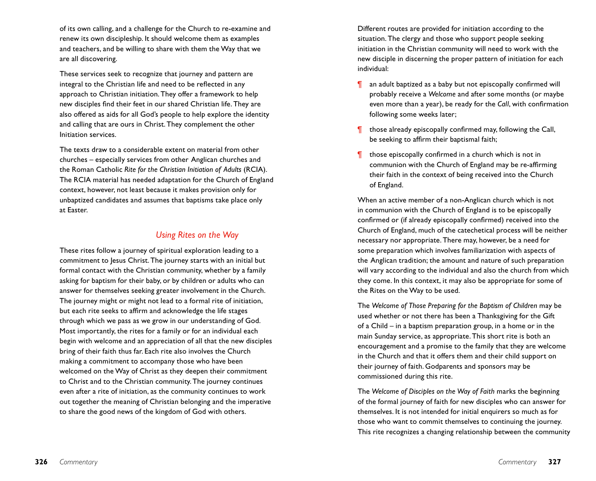of its own calling, and a challenge for the Church to re-examine and renew its own discipleship. It should welcome them as examples and teachers, and be willing to share with them the Way that we are all discovering.

These services seek to recognize that journey and pattern are integral to the Christian life and need to be reflected in any approach to Christian initiation. They offer a framework to help new disciples find their feet in our shared Christian life. They are also offered as aids for all God's people to help explore the identity and calling that are ours in Christ. They complement the other Initiation services.

The texts draw to a considerable extent on material from other churches – especially services from other Anglican churches and the Roman Catholic *Rite for the Christian Initiation of Adults* (RCIA). The RCIA material has needed adaptation for the Church of England context, however, not least because it makes provision only for unbaptized candidates and assumes that baptisms take place only at Easter.

## *Using Rites on the Way*

These rites follow a journey of spiritual exploration leading to a commitment to Jesus Christ. The journey starts with an initial but formal contact with the Christian community, whether by a family asking for baptism for their baby, or by children or adults who can answer for themselves seeking greater involvement in the Church. The journey might or might not lead to a formal rite of initiation, but each rite seeks to affirm and acknowledge the life stages through which we pass as we grow in our understanding of God. Most importantly, the rites for a family or for an individual each begin with welcome and an appreciation of all that the new disciples bring of their faith thus far. Each rite also involves the Church making a commitment to accompany those who have been welcomed on the Way of Christ as they deepen their commitment to Christ and to the Christian community. The journey continues even after a rite of initiation, as the community continues to work out together the meaning of Christian belonging and the imperative to share the good news of the kingdom of God with others.

Different routes are provided for initiation according to the situation.The clergy and those who support people seeking initiation in the Christian community will need to work with the new disciple in discerning the proper pattern of initiation for each individual:

- ¶ an adult baptized as a baby but not episcopally confirmed will probably receive a *Welcome* and after some months (or maybe even more than a year), be ready for the *Call*, with confirmation following some weeks later;
- ¶ those already episcopally confirmed may, following the Call, be seeking to affirm their baptismal faith;
- ¶ those episcopally confirmed in a church which is not in communion with the Church of England may be re-affirming their faith in the context of being received into the Church of England.

When an active member of a non-Anglican church which is not in communion with the Church of England is to be episcopally confirmed or (if already episcopally confirmed) received into the Church of England, much of the catechetical process will be neither necessary nor appropriate. There may, however, be a need for some preparation which involves familiarization with aspects of the Anglican tradition; the amount and nature of such preparation will vary according to the individual and also the church from which they come. In this context, it may also be appropriate for some of the Rites on the Way to be used.

The *Welcome of Those Preparing for the Baptism of Children* may be used whether or not there has been a Thanksgiving for the Gift of a Child – in a baptism preparation group, in a home or in the main Sunday service, as appropriate. This short rite is both an encouragement and a promise to the family that they are welcome in the Church and that it offers them and their child support on their journey of faith. Godparents and sponsors may be commissioned during this rite.

The *Welcome of Disciples on the Way of Faith* marks the beginning of the formal journey of faith for new disciples who can answer for themselves. It is not intended for initial enquirers so much as for those who want to commit themselves to continuing the journey. This rite recognizes a changing relationship between the community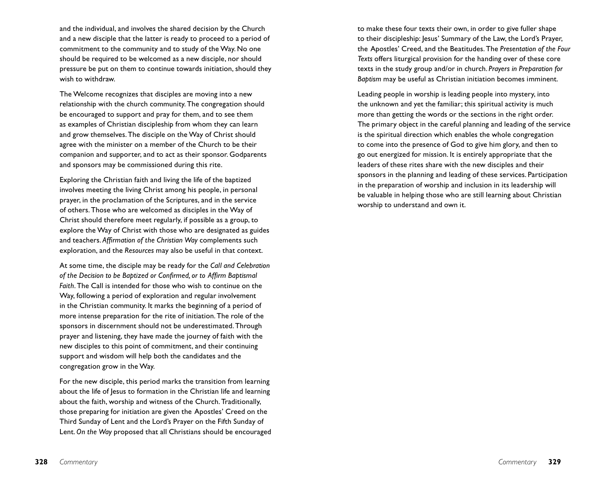and the individual, and involves the shared decision by the Church and a new disciple that the latter is ready to proceed to a period of commitment to the community and to study of the Way. No one should be required to be welcomed as a new disciple, nor should pressure be put on them to continue towards initiation, should they wish to withdraw.

The Welcome recognizes that disciples are moving into a new relationship with the church community. The congregation should be encouraged to support and pray for them, and to see them as examples of Christian discipleship from whom they can learn and grow themselves. The disciple on the Way of Christ should agree with the minister on a member of the Church to be their companion and supporter, and to act as their sponsor. Godparents and sponsors may be commissioned during this rite.

Exploring the Christian faith and living the life of the baptized involves meeting the living Christ among his people, in personal prayer, in the proclamation of the Scriptures, and in the service of others. Those who are welcomed as disciples in the Way of Christ should therefore meet regularly, if possible as a group, to explore the Way of Christ with those who are designated as guides and teachers. *Affirmation of the Christian Way* complements such exploration, and the *Resources* may also be useful in that context.

At some time, the disciple may be ready for the *Call and Celebration of the Decision to be Baptized or Confirmed, or to Affirm Baptismal Faith*. The Call is intended for those who wish to continue on the Way, following a period of exploration and regular involvement in the Christian community. It marks the beginning of a period of more intense preparation for the rite of initiation. The role of the sponsors in discernment should not be underestimated. Through prayer and listening, they have made the journey of faith with the new disciples to this point of commitment, and their continuing support and wisdom will help both the candidates and the congregation grow in the Way.

For the new disciple, this period marks the transition from learning about the life of Jesus to formation in the Christian life and learning about the faith, worship and witness of the Church. Traditionally, those preparing for initiation are given the Apostles' Creed on the Third Sunday of Lent and the Lord's Prayer on the Fifth Sunday of Lent. *On the Way* proposed that all Christians should be encouraged to make these four texts their own, in order to give fuller shape to their discipleship: Jesus' Summary of the Law, the Lord's Prayer, the Apostles' Creed, and the Beatitudes. The *Presentation of the Four Texts* offers liturgical provision for the handing over of these core texts in the study group and/or in church. *Prayers in Preparation for Baptism* may be useful as Christian initiation becomes imminent.

Leading people in worship is leading people into mystery, into the unknown and yet the familiar; this spiritual activity is much more than getting the words or the sections in the right order. The primary object in the careful planning and leading of the service is the spiritual direction which enables the whole congregation to come into the presence of God to give him glory, and then to go out energized for mission. It is entirely appropriate that the leaders of these rites share with the new disciples and their sponsors in the planning and leading of these services. Participation in the preparation of worship and inclusion in its leadership will be valuable in helping those who are still learning about Christian worship to understand and own it.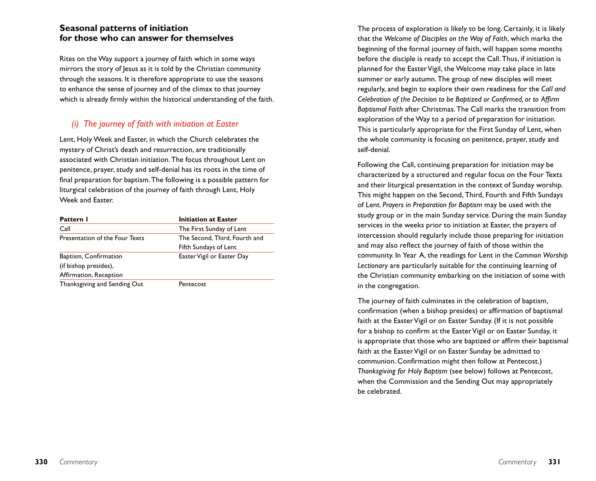# **Seasonal patterns of initiation for those who can answer for themselves**

Rites on the Way support a journey of faith which in some ways mirrors the story of lesus as it is told by the Christian community through the seasons. It is therefore appropriate to use the seasons to enhance the sense of journey and of the climax to that journey which is already firmly within the historical understanding of the faith.

# *(i) The journey of faith with initiation at Easter*

Lent, Holy Week and Easter, in which the Church celebrates the mystery of Christ's death and resurrection, are traditionally associated with Christian initiation. The focus throughout Lent on penitence, prayer, study and self-denial has its roots in the time of final preparation for baptism. The following is a possible pattern for liturgical celebration of the journey of faith through Lent, Holy Week and Easter.

| Pattern I                      | <b>Initiation at Easter</b>   |
|--------------------------------|-------------------------------|
| Call                           | The First Sunday of Lent      |
| Presentation of the Four Texts | The Second, Third, Fourth and |
|                                | Fifth Sundays of Lent         |
| Baptism, Confirmation          | Easter Vigil or Easter Day    |
| (if bishop presides),          |                               |
| Affirmation, Reception         |                               |
| Thanksgiving and Sending Out   | Pentecost                     |

The process of exploration is likely to be long. Certainly, it is likely that the *Welcome of Disciples on the Way of Faith*, which marks the beginning of the formal journey of faith, will happen some months before the disciple is ready to accept the Call. Thus, if initiation is planned for the EasterVigil, the Welcome may take place in late summer or early autumn. The group of new disciples will meet regularly, and begin to explore their own readiness for the *Call and Celebration of the Decision to be Baptized or Confirmed, or to Affirm Baptismal Faith* after Christmas. The Call marks the transition from exploration of the Way to a period of preparation for initiation. This is particularly appropriate for the First Sunday of Lent, when the whole community is focusing on penitence, prayer, study and self-denial.

Following the Call, continuing preparation for initiation may be characterized by a structured and regular focus on the Four Texts and their liturgical presentation in the context of Sunday worship. This might happen on the Second, Third, Fourth and Fifth Sundays of Lent. *Prayers in Preparation for Baptism* may be used with the study group or in the main Sunday service. During the main Sunday services in the weeks prior to initiation at Easter, the prayers of intercession should regularly include those preparing for initiation and may also reflect the journey of faith of those within the community. In Year A, the readings for Lent in the *Common Worship Lectionary* are particularly suitable for the continuing learning of the Christian community embarking on the initiation of some with in the congregation.

The journey of faith culminates in the celebration of baptism, confirmation (when a bishop presides) or affirmation of baptismal faith at the Easter Vigil or on Easter Sunday. (If it is not possible for a bishop to confirm at the Easter Vigil or on Easter Sunday, it is appropriate that those who are baptized or affirm their baptismal faith at the Easter Vigil or on Easter Sunday be admitted to communion. Confirmation might then follow at Pentecost.) *Thanksgiving for Holy Baptism* (see below) follows at Pentecost, when the Commission and the Sending Out may appropriately be celebrated.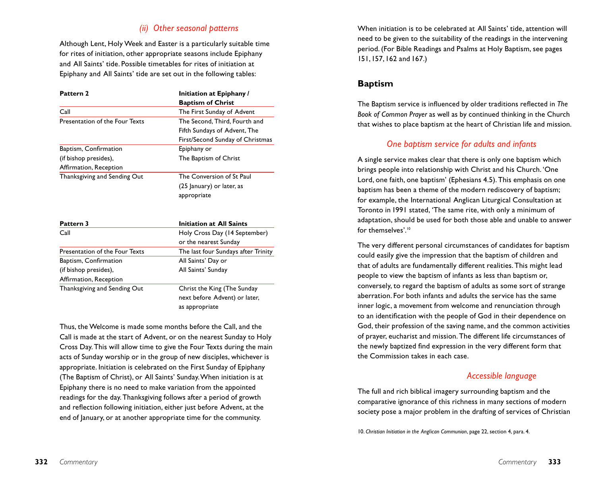# *(ii) Other seasonal patterns*

Although Lent, Holy Week and Easter is a particularly suitable time for rites of initiation, other appropriate seasons include Epiphany and All Saints' tide. Possible timetables for rites of initiation at Epiphany and All Saints' tide are set out in the following tables:

| Pattern 2                      | Initiation at Epiphany /         |
|--------------------------------|----------------------------------|
|                                | <b>Baptism of Christ</b>         |
| Call                           | The First Sunday of Advent       |
| Presentation of the Four Texts | The Second, Third, Fourth and    |
|                                | Fifth Sundays of Advent, The     |
|                                | First/Second Sunday of Christmas |
| Baptism, Confirmation          | Epiphany or                      |
| (if bishop presides),          | The Baptism of Christ            |
| Affirmation, Reception         |                                  |
| Thanksgiving and Sending Out   | The Conversion of St Paul        |
|                                | (25 January) or later, as        |
|                                | appropriate                      |
|                                |                                  |
| Pattern 3                      | Initiation at All Saints         |

| Call                           | Holy Cross Day (14 September)       |
|--------------------------------|-------------------------------------|
|                                | or the nearest Sunday               |
| Presentation of the Four Texts | The last four Sundays after Trinity |
| Baptism, Confirmation          | All Saints' Day or                  |
| (if bishop presides),          | All Saints' Sunday                  |
| Affirmation, Reception         |                                     |
| Thanksgiving and Sending Out   | Christ the King (The Sunday         |
|                                | next before Advent) or later,       |
|                                | as appropriate                      |
|                                |                                     |

Thus, the Welcome is made some months before the Call, and the Call is made at the start of Advent, or on the nearest Sunday to Holy Cross Day. This will allow time to give the Four Texts during the main acts of Sunday worship or in the group of new disciples, whichever is appropriate. Initiation is celebrated on the First Sunday of Epiphany (The Baptism of Christ), or All Saints' Sunday.When initiation is at Epiphany there is no need to make variation from the appointed readings for the day. Thanksgiving follows after a period of growth and reflection following initiation, either just before Advent, at the end of January, or at another appropriate time for the community.

When initiation is to be celebrated at All Saints' tide, attention will need to be given to the suitability of the readings in the intervening period. (For Bible Readings and Psalms at Holy Baptism, see pages 151,157,162 and 167.)

### **Baptism**

The Baptism service is influenced by older traditions reflected in *The Book of Common Prayer* as well as by continued thinking in the Church that wishes to place baptism at the heart of Christian life and mission.

### *One baptism service for adults and infants*

A single service makes clear that there is only one baptism which brings people into relationship with Christ and his Church. 'One Lord, one faith, one baptism' (Ephesians 4.5). This emphasis on one baptism has been a theme of the modern rediscovery of baptism; for example, the International Anglican Liturgical Consultation at Toronto in 1991 stated, 'The same rite, with only a minimum of adaptation, should be used for both those able and unable to answer for themselves'.<sup>10</sup>

The very different personal circumstances of candidates for baptism could easily give the impression that the baptism of children and that of adults are fundamentally different realities. This might lead people to view the baptism of infants as less than baptism or, conversely, to regard the baptism of adults as some sort of strange aberration. For both infants and adults the service has the same inner logic, a movement from welcome and renunciation through to an identification with the people of God in their dependence on God, their profession of the saving name, and the common activities of prayer, eucharist and mission. The different life circumstances of the newly baptized find expression in the very different form that the Commission takes in each case.

# *Accessible language*

The full and rich biblical imagery surrounding baptism and the comparative ignorance of this richness in many sections of modern society pose a major problem in the drafting of services of Christian

10. *Christian Initiation in the Anglican Communion*, page 22, section 4, para. 4.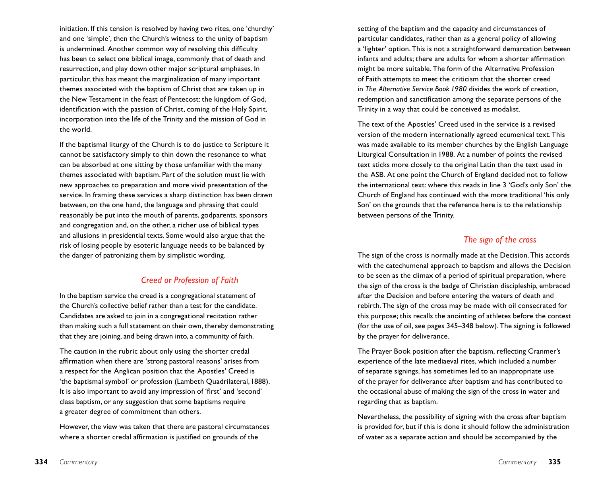initiation. If this tension is resolved by having two rites, one 'churchy' and one 'simple', then the Church's witness to the unity of baptism is undermined. Another common way of resolving this difficulty has been to select one biblical image, commonly that of death and resurrection, and play down other major scriptural emphases. In particular, this has meant the marginalization of many important themes associated with the baptism of Christ that are taken up in the New Testament in the feast of Pentecost: the kingdom of God, identification with the passion of Christ, coming of the Holy Spirit, incorporation into the life of the Trinity and the mission of God in the world.

If the baptismal liturgy of the Church is to do justice to Scripture it cannot be satisfactory simply to thin down the resonance to what can be absorbed at one sitting by those unfamiliar with the many themes associated with baptism. Part of the solution must lie with new approaches to preparation and more vivid presentation of the service. In framing these services a sharp distinction has been drawn between, on the one hand, the language and phrasing that could reasonably be put into the mouth of parents, godparents, sponsors and congregation and, on the other, a richer use of biblical types and allusions in presidential texts. Some would also argue that the risk of losing people by esoteric language needs to be balanced by the danger of patronizing them by simplistic wording.

# *Creed or Profession of Faith*

In the baptism service the creed is a congregational statement of the Church's collective belief rather than a test for the candidate. Candidates are asked to join in a congregational recitation rather than making such a full statement on their own, thereby demonstrating that they are joining, and being drawn into, a community of faith.

The caution in the rubric about only using the shorter credal affirmation when there are 'strong pastoral reasons' arises from a respect for the Anglican position that the Apostles' Creed is 'the baptismal symbol' or profession (Lambeth Quadrilateral,1888). It is also important to avoid any impression of 'first' and 'second' class baptism, or any suggestion that some baptisms require a greater degree of commitment than others.

However, the view was taken that there are pastoral circumstances where a shorter credal affirmation is justified on grounds of the

setting of the baptism and the capacity and circumstances of particular candidates, rather than as a general policy of allowing a 'lighter' option. This is not a straightforward demarcation between infants and adults; there are adults for whom a shorter affirmation might be more suitable. The form of the Alternative Profession of Faith attempts to meet the criticism that the shorter creed in *The Alternative Service Book 1980* divides the work of creation, redemption and sanctification among the separate persons of the Trinity in a way that could be conceived as modalist.

The text of the Apostles' Creed used in the service is a revised version of the modern internationally agreed ecumenical text. This was made available to its member churches by the English Language Liturgical Consultation in 1988. At a number of points the revised text sticks more closely to the original Latin than the text used in the ASB. At one point the Church of England decided not to follow the international text: where this reads in line 3 'God's only Son' the Church of England has continued with the more traditional 'his only Son' on the grounds that the reference here is to the relationship between persons of the Trinity.

# *The sign of the cross*

The sign of the cross is normally made at the Decision. This accords with the catechumenal approach to baptism and allows the Decision to be seen as the climax of a period of spiritual preparation, where the sign of the cross is the badge of Christian discipleship, embraced after the Decision and before entering the waters of death and rebirth. The sign of the cross may be made with oil consecrated for this purpose; this recalls the anointing of athletes before the contest (for the use of oil, see pages 345–348 below). The signing is followed by the prayer for deliverance.

The Prayer Book position after the baptism, reflecting Cranmer's experience of the late mediaeval rites, which included a number of separate signings, has sometimes led to an inappropriate use of the prayer for deliverance after baptism and has contributed to the occasional abuse of making the sign of the cross in water and regarding that as baptism.

Nevertheless, the possibility of signing with the cross after baptism is provided for, but if this is done it should follow the administration of water as a separate action and should be accompanied by the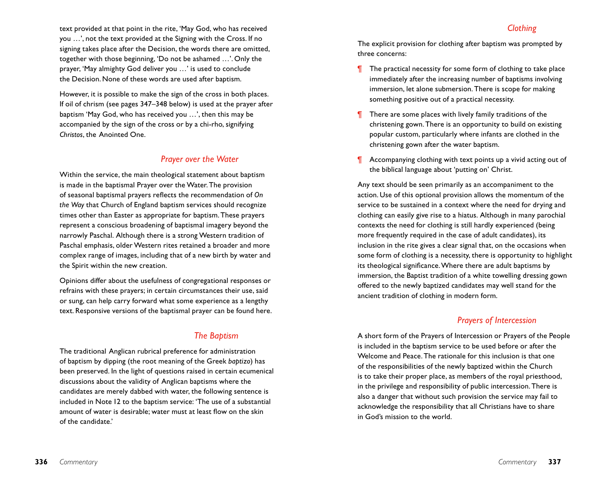text provided at that point in the rite, 'May God, who has received you …', not the text provided at the Signing with the Cross. If no signing takes place after the Decision, the words there are omitted, together with those beginning, 'Do not be ashamed …'. Only the prayer, 'May almighty God deliver you …' is used to conclude the Decision. None of these words are used after baptism.

However, it is possible to make the sign of the cross in both places. If oil of chrism (see pages 347–348 below) is used at the prayer after baptism 'May God, who has received you …', then this may be accompanied by the sign of the cross or by a chi-rho, signifying *Christos*, the Anointed One.

### *Prayer over the Water*

Within the service, the main theological statement about baptism is made in the baptismal Prayer over the Water. The provision of seasonal baptismal prayers reflects the recommendation of *On the Way* that Church of England baptism services should recognize times other than Easter as appropriate for baptism. These prayers represent a conscious broadening of baptismal imagery beyond the narrowly Paschal. Although there is a strong Western tradition of Paschal emphasis, older Western rites retained a broader and more complex range of images, including that of a new birth by water and the Spirit within the new creation.

Opinions differ about the usefulness of congregational responses or refrains with these prayers; in certain circumstances their use, said or sung, can help carry forward what some experience as a lengthy text. Responsive versions of the baptismal prayer can be found here.

### *The Baptism*

The traditional Anglican rubrical preference for administration of baptism by dipping (the root meaning of the Greek *baptizo*) has been preserved. In the light of questions raised in certain ecumenical discussions about the validity of Anglican baptisms where the candidates are merely dabbed with water, the following sentence is included in Note 12 to the baptism service: 'The use of a substantial amount of water is desirable; water must at least flow on the skin of the candidate.'

The explicit provision for clothing after baptism was prompted by three concerns:

- The practical necessity for some form of clothing to take place immediately after the increasing number of baptisms involving immersion, let alone submersion. There is scope for making something positive out of a practical necessity.
- ¶ There are some places with lively family traditions of the christening gown. There is an opportunity to build on existing popular custom, particularly where infants are clothed in the christening gown after the water baptism.
- ¶ Accompanying clothing with text points up a vivid acting out of the biblical language about 'putting on' Christ.

Any text should be seen primarily as an accompaniment to the action. Use of this optional provision allows the momentum of the service to be sustained in a context where the need for drying and clothing can easily give rise to a hiatus. Although in many parochial contexts the need for clothing is still hardly experienced (being more frequently required in the case of adult candidates), its inclusion in the rite gives a clear signal that, on the occasions when some form of clothing is a necessity, there is opportunity to highlight its theological significance.Where there are adult baptisms by immersion, the Baptist tradition of a white towelling dressing gown offered to the newly baptized candidates may well stand for the ancient tradition of clothing in modern form.

# *Prayers of Intercession*

A short form of the Prayers of Intercession or Prayers of the People is included in the baptism service to be used before or after the Welcome and Peace. The rationale for this inclusion is that one of the responsibilities of the newly baptized within the Church is to take their proper place, as members of the royal priesthood, in the privilege and responsibility of public intercession. There is also a danger that without such provision the service may fail to acknowledge the responsibility that all Christians have to share in God's mission to the world.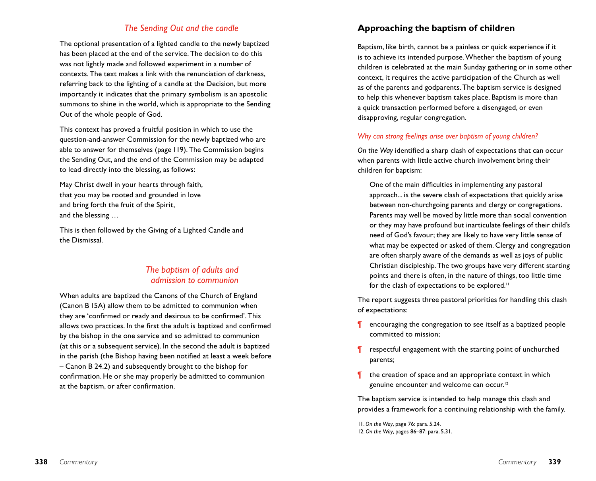# *The Sending Out and the candle*

The optional presentation of a lighted candle to the newly baptized has been placed at the end of the service. The decision to do this was not lightly made and followed experiment in a number of contexts. The text makes a link with the renunciation of darkness, referring back to the lighting of a candle at the Decision, but more importantly it indicates that the primary symbolism is an apostolic summons to shine in the world, which is appropriate to the Sending Out of the whole people of God.

This context has proved a fruitful position in which to use the question-and-answer Commission for the newly baptized who are able to answer for themselves (page 119). The Commission begins the Sending Out, and the end of the Commission may be adapted to lead directly into the blessing, as follows:

May Christ dwell in your hearts through faith, that you may be rooted and grounded in love and bring forth the fruit of the Spirit, and the blessing …

This is then followed by the Giving of a Lighted Candle and the Dismissal.

# *The baptism of adults and admission to communion*

When adults are baptized the Canons of the Church of England (Canon B 15A) allow them to be admitted to communion when they are 'confirmed or ready and desirous to be confirmed'. This allows two practices. In the first the adult is baptized and confirmed by the bishop in the one service and so admitted to communion (at this or a subsequent service). In the second the adult is baptized in the parish (the Bishop having been notified at least a week before – Canon B 24.2) and subsequently brought to the bishop for confirmation. He or she may properly be admitted to communion at the baptism, or after confirmation.

# **Approaching the baptism of children**

Baptism, like birth, cannot be a painless or quick experience if it is to achieve its intended purpose.Whether the baptism of young children is celebrated at the main Sunday gathering or in some other context, it requires the active participation of the Church as well as of the parents and godparents. The baptism service is designed to help this whenever baptism takes place. Baptism is more than a quick transaction performed before a disengaged, or even disapproving, regular congregation.

### *Why can strong feelings arise over baptism of young children?*

*On the Way* identified a sharp clash of expectations that can occur when parents with little active church involvement bring their children for baptism:

One of the main difficulties in implementing any pastoral approach... is the severe clash of expectations that quickly arise between non-churchgoing parents and clergy or congregations. Parents may well be moved by little more than social convention or they may have profound but inarticulate feelings of their child's need of God's favour; they are likely to have very little sense of what may be expected or asked of them. Clergy and congregation are often sharply aware of the demands as well as joys of public Christian discipleship. The two groups have very different starting points and there is often, in the nature of things, too little time for the clash of expectations to be explored.<sup>11</sup>

The report suggests three pastoral priorities for handling this clash of expectations:

- encouraging the congregation to see itself as a baptized people committed to mission;
- ¶ respectful engagement with the starting point of unchurched parents;
- ¶ the creation of space and an appropriate context in which genuine encounter and welcome can occur.<sup>12</sup>

The baptism service is intended to help manage this clash and provides a framework for a continuing relationship with the family.

11. *On the Way*, page 76: para. 5.24. 12. *On the Way*, pages 86–87: para. 5.31.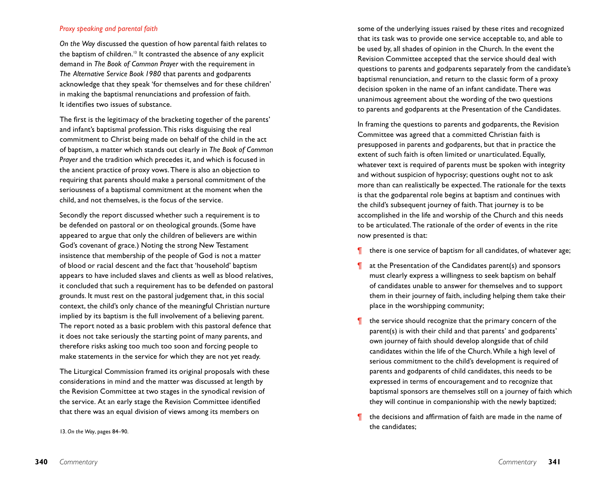#### *Proxy speaking and parental faith*

*On the Way* discussed the question of how parental faith relates to the baptism of children.<sup>13</sup> It contrasted the absence of any explicit demand in *The Book of Common Prayer* with the requirement in *The Alternative Service Book 1980* that parents and godparents acknowledge that they speak 'for themselves and for these children' in making the baptismal renunciations and profession of faith. It identifies two issues of substance.

The first is the legitimacy of the bracketing together of the parents' and infant's baptismal profession. This risks disguising the real commitment to Christ being made on behalf of the child in the act of baptism, a matter which stands out clearly in *The Book of Common Prayer* and the tradition which precedes it, and which is focused in the ancient practice of proxy vows. There is also an objection to requiring that parents should make a personal commitment of the seriousness of a baptismal commitment at the moment when the child, and not themselves, is the focus of the service.

Secondly the report discussed whether such a requirement is to be defended on pastoral or on theological grounds. (Some have appeared to argue that only the children of believers are within God's covenant of grace.) Noting the strong New Testament insistence that membership of the people of God is not a matter of blood or racial descent and the fact that 'household' baptism appears to have included slaves and clients as well as blood relatives, it concluded that such a requirement has to be defended on pastoral grounds. It must rest on the pastoral judgement that, in this social context, the child's only chance of the meaningful Christian nurture implied by its baptism is the full involvement of a believing parent. The report noted as a basic problem with this pastoral defence that it does not take seriously the starting point of many parents, and therefore risks asking too much too soon and forcing people to make statements in the service for which they are not yet ready.

The Liturgical Commission framed its original proposals with these considerations in mind and the matter was discussed at length by the Revision Committee at two stages in the synodical revision of the service. At an early stage the Revision Committee identified that there was an equal division of views among its members on

13. *On the Way*, pages 84–90.

some of the underlying issues raised by these rites and recognized that its task was to provide one service acceptable to, and able to be used by, all shades of opinion in the Church. In the event the Revision Committee accepted that the service should deal with questions to parents and godparents separately from the candidate's baptismal renunciation, and return to the classic form of a proxy decision spoken in the name of an infant candidate. There was unanimous agreement about the wording of the two questions to parents and godparents at the Presentation of the Candidates.

In framing the questions to parents and godparents, the Revision Committee was agreed that a committed Christian faith is presupposed in parents and godparents, but that in practice the extent of such faith is often limited or unarticulated. Equally, whatever text is required of parents must be spoken with integrity and without suspicion of hypocrisy; questions ought not to ask more than can realistically be expected. The rationale for the texts is that the godparental role begins at baptism and continues with the child's subsequent journey of faith. That journey is to be accomplished in the life and worship of the Church and this needs to be articulated. The rationale of the order of events in the rite now presented is that:

- there is one service of baptism for all candidates, of whatever age;
- at the Presentation of the Candidates parent(s) and sponsors must clearly express a willingness to seek baptism on behalf of candidates unable to answer for themselves and to support them in their journey of faith, including helping them take their place in the worshipping community;
- ¶ the service should recognize that the primary concern of the parent(s) is with their child and that parents' and godparents' own journey of faith should develop alongside that of child candidates within the life of the Church.While a high level of serious commitment to the child's development is required of parents and godparents of child candidates, this needs to be expressed in terms of encouragement and to recognize that baptismal sponsors are themselves still on a journey of faith which they will continue in companionship with the newly baptized;
- ¶ the decisions and affirmation of faith are made in the name of the candidates;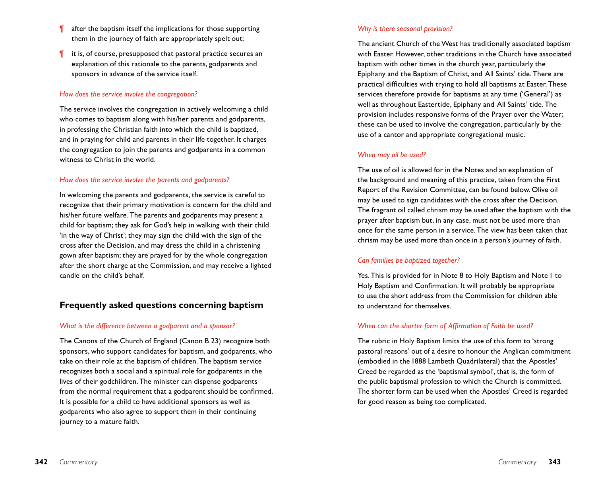- after the baptism itself the implications for those supporting them in the journey of faith are appropriately spelt out;
- it is, of course, presupposed that pastoral practice secures an explanation of this rationale to the parents, godparents and sponsors in advance of the service itself.

#### *How does the service involve the congregation?*

The service involves the congregation in actively welcoming a child who comes to baptism along with his/her parents and godparents, in professing the Christian faith into which the child is baptized, and in praying for child and parents in their life together. It charges the congregation to join the parents and godparents in a common witness to Christ in the world.

#### *How does the service involve the parents and godparents?*

In welcoming the parents and godparents, the service is careful to recognize that their primary motivation is concern for the child and his/her future welfare. The parents and godparents may present a child for baptism; they ask for God's help in walking with their child 'in the way of Christ'; they may sign the child with the sign of the cross after the Decision, and may dress the child in a christening gown after baptism; they are prayed for by the whole congregation after the short charge at the Commission, and may receive a lighted candle on the child's behalf.

# **Frequently asked questions concerning baptism**

#### *What is the difference between a godparent and a sponsor?*

The Canons of the Church of England (Canon B 23) recognize both sponsors, who support candidates for baptism, and godparents, who take on their role at the baptism of children. The baptism service recognizes both a social and a spiritual role for godparents in the lives of their godchildren. The minister can dispense godparents from the normal requirement that a godparent should be confirmed. It is possible for a child to have additional sponsors as well as godparents who also agree to support them in their continuing journey to a mature faith.

#### *Why is there seasonal provision?*

The ancient Church of the West has traditionally associated baptism with Easter. However, other traditions in the Church have associated baptism with other times in the church year, particularly the Epiphany and the Baptism of Christ, and All Saints' tide. There are practical difficulties with trying to hold all baptisms at Easter. These services therefore provide for baptisms at any time ('General') as well as throughout Eastertide, Epiphany and All Saints' tide. The provision includes responsive forms of the Prayer over the Water; these can be used to involve the congregation, particularly by the use of a cantor and appropriate congregational music.

#### *When may oil be used?*

The use of oil is allowed for in the Notes and an explanation of the background and meaning of this practice, taken from the First Report of the Revision Committee, can be found below. Olive oil may be used to sign candidates with the cross after the Decision. The fragrant oil called chrism may be used after the baptism with the prayer after baptism but, in any case, must not be used more than once for the same person in a service. The view has been taken that chrism may be used more than once in a person's journey of faith.

#### *Can families be baptized together?*

Yes. This is provided for in Note 8 to Holy Baptism and Note I to Holy Baptism and Confirmation. It will probably be appropriate to use the short address from the Commission for children able to understand for themselves.

#### *When can the shorter form of Affirmation of Faith be used?*

The rubric in Holy Baptism limits the use of this form to 'strong pastoral reasons' out of a desire to honour the Anglican commitment (embodied in the 1888 Lambeth Quadrilateral) that the Apostles' Creed be regarded as the 'baptismal symbol', that is, the form of the public baptismal profession to which the Church is committed. The shorter form can be used when the Apostles' Creed is regarded for good reason as being too complicated.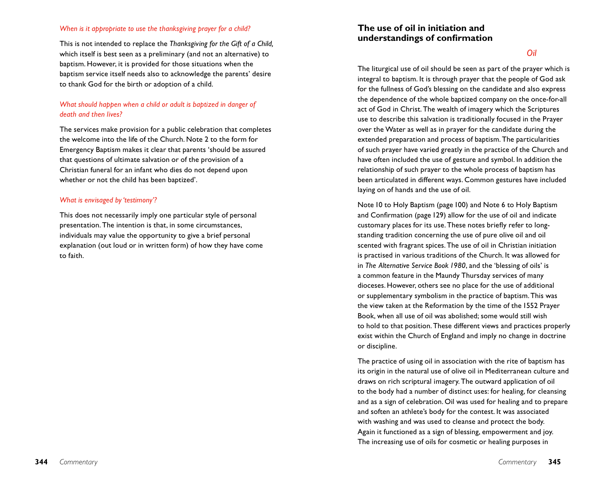#### *When is it appropriate to use the thanksgiving prayer for a child?*

This is not intended to replace the *Thanksgiving for the Gift of a Child,* which itself is best seen as a preliminary (and not an alternative) to baptism. However, it is provided for those situations when the baptism service itself needs also to acknowledge the parents' desire to thank God for the birth or adoption of a child.

### *What should happen when a child or adult is baptized in danger of death and then lives?*

The services make provision for a public celebration that completes the welcome into the life of the Church. Note 2 to the form for Emergency Baptism makes it clear that parents 'should be assured that questions of ultimate salvation or of the provision of a Christian funeral for an infant who dies do not depend upon whether or not the child has been baptized'.

#### *What is envisaged by 'testimony'?*

This does not necessarily imply one particular style of personal presentation. The intention is that, in some circumstances, individuals may value the opportunity to give a brief personal explanation (out loud or in written form) of how they have come to faith.

# **The use of oil in initiation and understandings of confirmation**

*Oil*

The liturgical use of oil should be seen as part of the prayer which is integral to baptism. It is through prayer that the people of God ask for the fullness of God's blessing on the candidate and also express the dependence of the whole baptized company on the once-for-all act of God in Christ. The wealth of imagery which the Scriptures use to describe this salvation is traditionally focused in the Prayer over the Water as well as in prayer for the candidate during the extended preparation and process of baptism. The particularities of such prayer have varied greatly in the practice of the Church and have often included the use of gesture and symbol. In addition the relationship of such prayer to the whole process of baptism has been articulated in different ways. Common gestures have included laying on of hands and the use of oil.

Note 10 to Holy Baptism (page 100) and Note 6 to Holy Baptism and Confirmation (page 129) allow for the use of oil and indicate customary places for its use. These notes briefly refer to longstanding tradition concerning the use of pure olive oil and oil scented with fragrant spices. The use of oil in Christian initiation is practised in various traditions of the Church. It was allowed for in *The Alternative Service Book 1980*, and the 'blessing of oils' is a common feature in the Maundy Thursday services of many dioceses. However, others see no place for the use of additional or supplementary symbolism in the practice of baptism. This was the view taken at the Reformation by the time of the 1552 Prayer Book, when all use of oil was abolished; some would still wish to hold to that position. These different views and practices properly exist within the Church of England and imply no change in doctrine or discipline.

The practice of using oil in association with the rite of baptism has its origin in the natural use of olive oil in Mediterranean culture and draws on rich scriptural imagery. The outward application of oil to the body had a number of distinct uses: for healing, for cleansing and as a sign of celebration. Oil was used for healing and to prepare and soften an athlete's body for the contest. It was associated with washing and was used to cleanse and protect the body. Again it functioned as a sign of blessing, empowerment and joy. The increasing use of oils for cosmetic or healing purposes in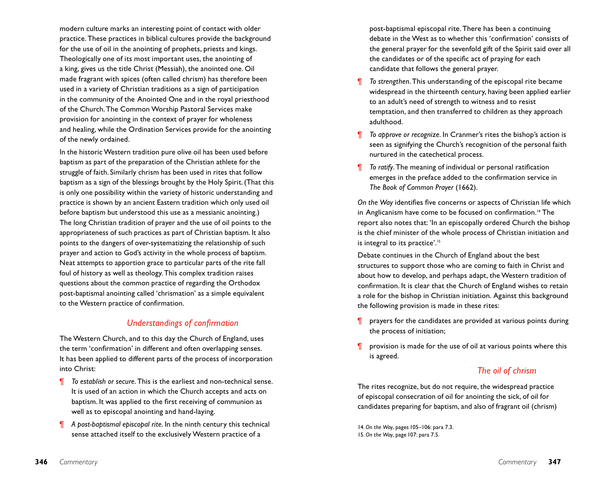modern culture marks an interesting point of contact with older practice. These practices in biblical cultures provide the background for the use of oil in the anointing of prophets, priests and kings. Theologically one of its most important uses, the anointing of a king, gives us the title Christ (Messiah), the anointed one. Oil made fragrant with spices (often called chrism) has therefore been used in a variety of Christian traditions as a sign of participation in the community of the Anointed One and in the royal priesthood of the Church. The Common Worship Pastoral Services make provision for anointing in the context of prayer for wholeness and healing, while the Ordination Services provide for the anointing of the newly ordained.

In the historic Western tradition pure olive oil has been used before baptism as part of the preparation of the Christian athlete for the struggle of faith. Similarly chrism has been used in rites that follow baptism as a sign of the blessings brought by the Holy Spirit. (That this is only one possibility within the variety of historic understanding and practice is shown by an ancient Eastern tradition which only used oil before baptism but understood this use as a messianic anointing.) The long Christian tradition of prayer and the use of oil points to the appropriateness of such practices as part of Christian baptism. It also points to the dangers of over-systematizing the relationship of such prayer and action to God's activity in the whole process of baptism. Neat attempts to apportion grace to particular parts of the rite fall foul of history as well as theology. This complex tradition raises questions about the common practice of regarding the Orthodox post-baptismal anointing called 'chrismation' as a simple equivalent to the Western practice of confirmation.

# *Understandings of confirmation*

The Western Church, and to this day the Church of England, uses the term 'confirmation' in different and often overlapping senses. It has been applied to different parts of the process of incorporation into Christ:

- ¶ *To establish or secure*.This is the earliest and non-technical sense. It is used of an action in which the Church accepts and acts on baptism. It was applied to the first receiving of communion as well as to episcopal anointing and hand-laying.
- ¶ *A post-baptismal episcopal rite*. In the ninth century this technical sense attached itself to the exclusively Western practice of a

post-baptismal episcopal rite. There has been a continuing debate in the West as to whether this 'confirmation' consists of the general prayer for the sevenfold gift of the Spirit said over all the candidates or of the specific act of praying for each candidate that follows the general prayer.

- ¶ *To strengthen*. This understanding of the episcopal rite became widespread in the thirteenth century, having been applied earlier to an adult's need of strength to witness and to resist temptation, and then transferred to children as they approach adulthood.
- ¶ *To approve or recognize*. In Cranmer's rites the bishop's action is seen as signifying the Church's recognition of the personal faith nurtured in the catechetical process.
- ¶ *To ratify*. The meaning of individual or personal ratification emerges in the preface added to the confirmation service in *The Book of Common Prayer* (1662).

*On the Way* identifies five concerns or aspects of Christian life which in Anglicanism have come to be focused on confirmation.<sup>14</sup> The report also notes that: 'In an episcopally ordered Church the bishop is the chief minister of the whole process of Christian initiation and is integral to its practice'.<sup>15</sup>

Debate continues in the Church of England about the best structures to support those who are coming to faith in Christ and about how to develop, and perhaps adapt, the Western tradition of confirmation. It is clear that the Church of England wishes to retain a role for the bishop in Christian initiation. Against this background the following provision is made in these rites:

- prayers for the candidates are provided at various points during the process of initiation;
- provision is made for the use of oil at various points where this is agreed.

# *The oil of chrism*

The rites recognize, but do not require, the widespread practice of episcopal consecration of oil for anointing the sick, of oil for candidates preparing for baptism, and also of fragrant oil (chrism)

14. *On the Way*, pages 105–106: para 7.3. 15. *On the Way*, page 107: para 7.5.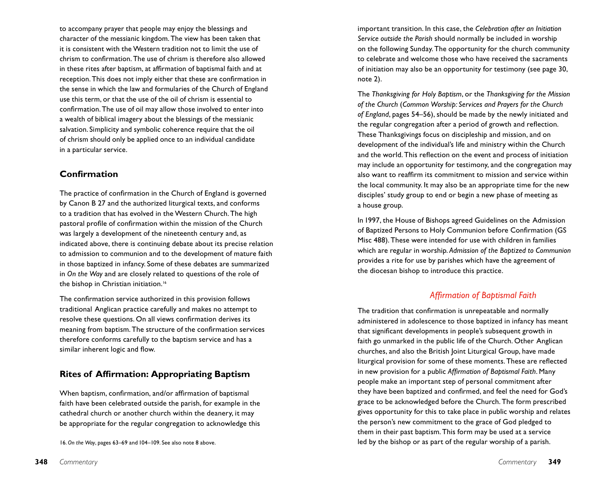to accompany prayer that people may enjoy the blessings and character of the messianic kingdom. The view has been taken that it is consistent with the Western tradition not to limit the use of chrism to confirmation. The use of chrism is therefore also allowed in these rites after baptism, at affirmation of baptismal faith and at reception. This does not imply either that these are confirmation in the sense in which the law and formularies of the Church of England use this term, or that the use of the oil of chrism is essential to confirmation. The use of oil may allow those involved to enter into a wealth of biblical imagery about the blessings of the messianic salvation. Simplicity and symbolic coherence require that the oil of chrism should only be applied once to an individual candidate in a particular service.

## **Confirmation**

The practice of confirmation in the Church of England is governed by Canon B 27 and the authorized liturgical texts, and conforms to a tradition that has evolved in the Western Church. The high pastoral profile of confirmation within the mission of the Church was largely a development of the nineteenth century and, as indicated above, there is continuing debate about its precise relation to admission to communion and to the development of mature faith in those baptized in infancy. Some of these debates are summarized in *On the Way* and are closely related to questions of the role of the bishop in Christian initiation.<sup>16</sup>

The confirmation service authorized in this provision follows traditional Anglican practice carefully and makes no attempt to resolve these questions. On all views confirmation derives its meaning from baptism.The structure of the confirmation services therefore conforms carefully to the baptism service and has a similar inherent logic and flow.

# **Rites of Affirmation: Appropriating Baptism**

When baptism, confirmation, and/or affirmation of baptismal faith have been celebrated outside the parish, for example in the cathedral church or another church within the deanery, it may be appropriate for the regular congregation to acknowledge this

16. *On the Way*, pages 63–69 and 104–109. See also note 8 above.

important transition. In this case, the *Celebration after an Initiation Service outside the Parish* should normally be included in worship on the following Sunday. The opportunity for the church community to celebrate and welcome those who have received the sacraments of initiation may also be an opportunity for testimony (see page 30, note 2).

The *Thanksgiving for Holy Baptism*, or the *Thanksgiving for the Mission of the Church* (*Common Worship: Services and Prayers for the Church of England*, pages 54–56), should be made by the newly initiated and the regular congregation after a period of growth and reflection. These Thanksgivings focus on discipleship and mission, and on development of the individual's life and ministry within the Church and the world. This reflection on the event and process of initiation may include an opportunity for testimony, and the congregation may also want to reaffirm its commitment to mission and service within the local community. It may also be an appropriate time for the new disciples' study group to end or begin a new phase of meeting as a house group.

In 1997, the House of Bishops agreed Guidelines on the Admission of Baptized Persons to Holy Communion before Confirmation (GS Misc 488).These were intended for use with children in families which are regular in worship. *Admission of the Baptized to Communion* provides a rite for use by parishes which have the agreement of the diocesan bishop to introduce this practice.

# *Affirmation of Baptismal Faith*

The tradition that confirmation is unrepeatable and normally administered in adolescence to those baptized in infancy has meant that significant developments in people's subsequent growth in faith go unmarked in the public life of the Church. Other Anglican churches, and also the British Joint Liturgical Group, have made liturgical provision for some of these moments. These are reflected in new provision for a public *Affirmation of Baptismal Faith*. Many people make an important step of personal commitment after they have been baptized and confirmed, and feel the need for God's grace to be acknowledged before the Church. The form prescribed gives opportunity for this to take place in public worship and relates the person's new commitment to the grace of God pledged to them in their past baptism. This form may be used at a service led by the bishop or as part of the regular worship of a parish.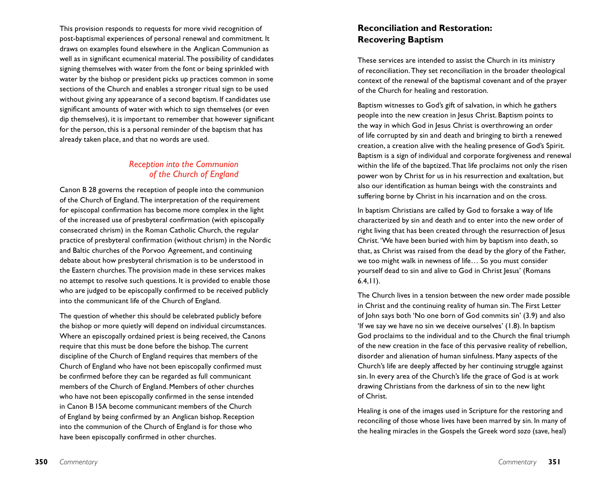This provision responds to requests for more vivid recognition of post-baptismal experiences of personal renewal and commitment. It draws on examples found elsewhere in the Anglican Communion as well as in significant ecumenical material. The possibility of candidates signing themselves with water from the font or being sprinkled with water by the bishop or president picks up practices common in some sections of the Church and enables a stronger ritual sign to be used without giving any appearance of a second baptism. If candidates use significant amounts of water with which to sign themselves (or even dip themselves), it is important to remember that however significant for the person, this is a personal reminder of the baptism that has already taken place, and that no words are used.

# *Reception into the Communion of the Church of England*

Canon B 28 governs the reception of people into the communion of the Church of England. The interpretation of the requirement for episcopal confirmation has become more complex in the light of the increased use of presbyteral confirmation (with episcopally consecrated chrism) in the Roman Catholic Church, the regular practice of presbyteral confirmation (without chrism) in the Nordic and Baltic churches of the Porvoo Agreement, and continuing debate about how presbyteral chrismation is to be understood in the Eastern churches. The provision made in these services makes no attempt to resolve such questions. It is provided to enable those who are judged to be episcopally confirmed to be received publicly into the communicant life of the Church of England.

The question of whether this should be celebrated publicly before the bishop or more quietly will depend on individual circumstances. Where an episcopally ordained priest is being received, the Canons require that this must be done before the bishop. The current discipline of the Church of England requires that members of the Church of England who have not been episcopally confirmed must be confirmed before they can be regarded as full communicant members of the Church of England. Members of other churches who have not been episcopally confirmed in the sense intended in Canon B 15A become communicant members of the Church of England by being confirmed by an Anglican bishop. Reception into the communion of the Church of England is for those who have been episcopally confirmed in other churches.

# **Reconciliation and Restoration: Recovering Baptism**

These services are intended to assist the Church in its ministry of reconciliation. They set reconciliation in the broader theological context of the renewal of the baptismal covenant and of the prayer of the Church for healing and restoration.

Baptism witnesses to God's gift of salvation, in which he gathers people into the new creation in Jesus Christ. Baptism points to the way in which God in Jesus Christ is overthrowing an order of life corrupted by sin and death and bringing to birth a renewed creation, a creation alive with the healing presence of God's Spirit. Baptism is a sign of individual and corporate forgiveness and renewal within the life of the baptized. That life proclaims not only the risen power won by Christ for us in his resurrection and exaltation, but also our identification as human beings with the constraints and suffering borne by Christ in his incarnation and on the cross.

In baptism Christians are called by God to forsake a way of life characterized by sin and death and to enter into the new order of right living that has been created through the resurrection of Jesus Christ. 'We have been buried with him by baptism into death, so that, as Christ was raised from the dead by the glory of the Father, we too might walk in newness of life… So you must consider yourself dead to sin and alive to God in Christ Jesus' (Romans  $6.4$ ,  $|1$ ).

The Church lives in a tension between the new order made possible in Christ and the continuing reality of human sin. The First Letter of John says both 'No one born of God commits sin' (3.9) and also 'If we say we have no sin we deceive ourselves' (1.8). In baptism God proclaims to the individual and to the Church the final triumph of the new creation in the face of this pervasive reality of rebellion, disorder and alienation of human sinfulness. Many aspects of the Church's life are deeply affected by her continuing struggle against sin. In every area of the Church's life the grace of God is at work drawing Christians from the darkness of sin to the new light of Christ.

Healing is one of the images used in Scripture for the restoring and reconciling of those whose lives have been marred by sin. In many of the healing miracles in the Gospels the Greek word *sozo* (save, heal)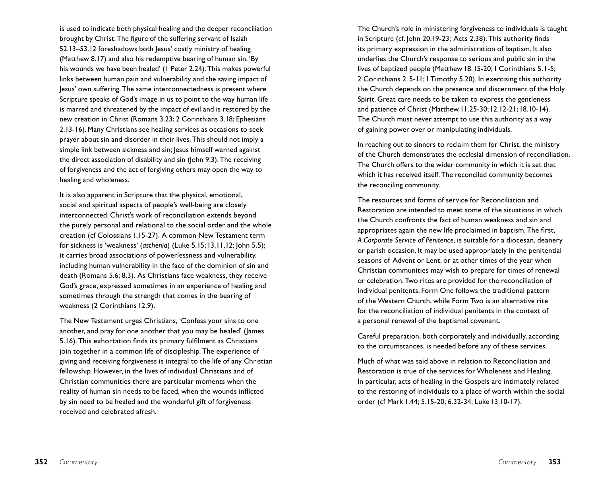is used to indicate both physical healing and the deeper reconciliation brought by Christ. The figure of the suffering servant of Isaiah 52.13–53.12 foreshadows both lesus' costly ministry of healing (Matthew 8.17) and also his redemptive bearing of human sin. 'By his wounds we have been healed' (1 Peter 2.24). This makes powerful links between human pain and vulnerability and the saving impact of Jesus' own suffering. The same interconnectedness is present where Scripture speaks of God's image in us to point to the way human life is marred and threatened by the impact of evil and is restored by the new creation in Christ (Romans 3.23; 2 Corinthians 3.18; Ephesians 2.13-16). Many Christians see healing services as occasions to seek prayer about sin and disorder in their lives. This should not imply a simple link between sickness and sin; Jesus himself warned against the direct association of disability and sin (John 9.3). The receiving of forgiveness and the act of forgiving others may open the way to healing and wholeness.

It is also apparent in Scripture that the physical, emotional, social and spiritual aspects of people's well-being are closely interconnected. Christ's work of reconciliation extends beyond the purely personal and relational to the social order and the whole creation (cf Colossians 1.15-27). A common New Testament term for sickness is 'weakness' (*asthenia*) (Luke 5.15;13.11,12; John 5.5); it carries broad associations of powerlessness and vulnerability, including human vulnerability in the face of the dominion of sin and death (Romans 5.6; 8.3). As Christians face weakness, they receive God's grace, expressed sometimes in an experience of healing and sometimes through the strength that comes in the bearing of weakness (2 Corinthians 12.9).

The New Testament urges Christians, 'Confess your sins to one another, and pray for one another that you may be healed' (James 5.16).This exhortation finds its primary fulfilment as Christians join together in a common life of discipleship. The experience of giving and receiving forgiveness is integral to the life of any Christian fellowship. However, in the lives of individual Christians and of Christian communities there are particular moments when the reality of human sin needs to be faced, when the wounds inflicted by sin need to be healed and the wonderful gift of forgiveness received and celebrated afresh.

The Church's role in ministering forgiveness to individuals is taught in Scripture (cf. John 20.19-23; Acts 2.38). This authority finds its primary expression in the administration of baptism. It also underlies the Church's response to serious and public sin in the lives of baptized people (Matthew 18.15-20;1 Corinthians 5.1-5; 2 Corinthians 2. 5-11;1 Timothy 5.20). In exercising this authority the Church depends on the presence and discernment of the Holy Spirit. Great care needs to be taken to express the gentleness and patience of Christ (Matthew 11.25-30;12.12-21;18.10-14). The Church must never attempt to use this authority as a way of gaining power over or manipulating individuals.

In reaching out to sinners to reclaim them for Christ, the ministry of the Church demonstrates the ecclesial dimension of reconciliation. The Church offers to the wider community in which it is set that which it has received itself. The reconciled community becomes the reconciling community.

The resources and forms of service for Reconciliation and Restoration are intended to meet some of the situations in which the Church confronts the fact of human weakness and sin and appropriates again the new life proclaimed in baptism. The first, *A Corporate Service of Penitence*, is suitable for a diocesan, deanery or parish occasion. It may be used appropriately in the penitential seasons of Advent or Lent, or at other times of the year when Christian communities may wish to prepare for times of renewal or celebration. Two rites are provided for the reconciliation of individual penitents. Form One follows the traditional pattern of the Western Church, while Form Two is an alternative rite for the reconciliation of individual penitents in the context of a personal renewal of the baptismal covenant.

Careful preparation, both corporately and individually, according to the circumstances, is needed before any of these services.

Much of what was said above in relation to Reconciliation and Restoration is true of the services for Wholeness and Healing. In particular, acts of healing in the Gospels are intimately related to the restoring of individuals to a place of worth within the social order (cf Mark 1.44; 5.15-20; 6.32-34; Luke 13.10-17).